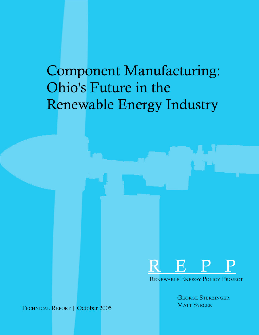# **Component Manufacturing:** Ohio's Future in the Renewable Energy Industry



RENEWABLE ENERGY POLICY PROJECT

**GEORGE STERZINGER MATT SVRCEK** 

TECHNICAL REPORT | October 2005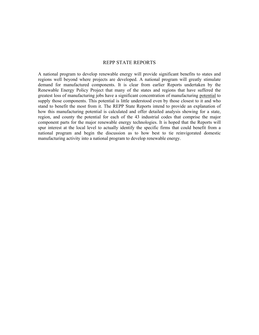#### REPP STATE REPORTS

A national program to develop renewable energy will provide significant benefits to states and regions well beyond where projects are developed. A national program will greatly stimulate demand for manufactured components. It is clear from earlier Reports undertaken by the Renewable Energy Policy Project that many of the states and regions that have suffered the greatest loss of manufacturing jobs have a significant concentration of manufacturing potential to supply those components. This potential is little understood even by those closest to it and who stand to benefit the most from it. The REPP State Reports intend to provide an explanation of how this manufacturing potential is calculated and offer detailed analysis showing for a state, region, and county the potential for each of the 43 industrial codes that comprise the major component parts for the major renewable energy technologies. It is hoped that the Reports will spur interest at the local level to actually identify the specific firms that could benefit from a national program and begin the discussion as to how best to tie reinvigorated domestic manufacturing activity into a national program to develop renewable energy.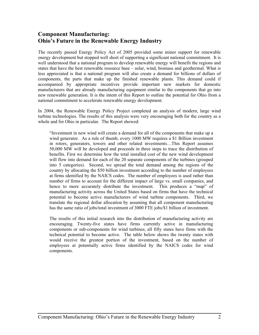# **Component Manufacturing: Ohio's Future in the Renewable Energy Industry**

The recently passed Energy Policy Act of 2005 provided some minor support for renewable energy development but stopped well short of supporting a significant national commitment. It is well understood that a national program to develop renewable energy will benefit the regions and states that have the best renewable resource base – solar, wind, biomass and geothermal. What is less appreciated is that a national program will also create a demand for billions of dollars of components, the parts that make up the finished renewable plants. This demand could if accompanied by appropriate incentives provide important new markets for domestic manufacturers that are already manufacturing equipment similar to the components that go into new renewable generation. It is the intent of this Report to outline the potential for Ohio from a national commitment to accelerate renewable energy development.

In 2004, the Renewable Energy Policy Project completed an analysis of modern, large wind turbine technologies. The results of this analysis were very encouraging both for the country as a whole and for Ohio in particular. The Report showed:

"Investment in new wind will create a demand for all of the components that make up a wind generator. As a rule of thumb, every 1000 MW requires a \$1 Billion investment in rotors, generators, towers and other related investments…This Report assumes 50,000 MW will be developed and proceeds in three steps to trace the distribution of benefits. First we determine how the total installed cost of the new wind development will flow into demand for each of the 20 separate components of the turbines (grouped into 5 categories). Second, we spread the total demand among the regions of the country by allocating the \$50 billion investment according to the number of employees at firms identified by the NAICS codes. The number of employees is used rather than number of firms to account for the different impact of large vs. small companies, and hence to more accurately distribute the investment. This produces a "map" of manufacturing activity across the United States based on firms that have the technical potential to become active manufacturers of wind turbine components. Third, we translate the regional dollar allocation by assuming that all component manufacturing has the same ratio of jobs/total investment of 3000 FTE jobs/\$1 billion of investment.

The results of this initial research into the distribution of manufacturing activity are encouraging. Twenty-five states have firms currently active in manufacturing components or sub-components for wind turbines; all fifty states have firms with the technical potential to become active. The table below shows the twenty states with would receive the greatest portion of the investment, based on the number of employees at potentially active firms identified by the NAICS codes for wind components.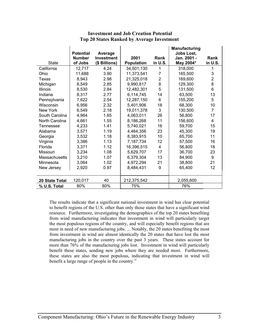|                 |                                   |                              |                   |                | Manufacturing             |                |
|-----------------|-----------------------------------|------------------------------|-------------------|----------------|---------------------------|----------------|
|                 | <b>Potential</b><br><b>Number</b> | Average<br><b>Investment</b> | 2001              | Rank           | Jobs Lost,<br>Jan. 2001 - | Rank           |
| <b>State</b>    | of Jobs                           | (\$ Billions)                | <b>Population</b> | in U.S.        | May 2004*                 | in U.S.        |
| California      | 12,717                            | 4.24                         | 34,501,130        | 1              | 318,000                   | 1              |
| Ohio            | 11,688                            | 3.90                         | 11,373,541        | $\overline{7}$ | 165,500                   | 3              |
| Texas           | 8,943                             | 2.98                         | 21,325,018        | $\overline{2}$ | 169,600                   | $\overline{2}$ |
| Michigan        | 8,549                             | 2.85                         | 9,990,817         | 8              | 129,300                   | 8              |
| <b>Illinois</b> | 8,530                             | 2.84                         | 12,482,301        | 5              | 131,500                   | 6              |
| Indiana         | 8,317                             | 2.77                         | 6,114,745         | 14             | 63,500                    | 13             |
| Pennsylvania    | 7,622                             | 2.54                         | 12,287,150        | 6              | 155,200                   | 5              |
| Wisconsin       | 6,956                             | 2.32                         | 5,401,906         | 18             | 68,300                    | 10             |
| New York        | 6,549                             | 2.18                         | 19,011,378        | 3              | 130,500                   | $\overline{7}$ |
| South Carolina  | 4,964                             | 1.65                         | 4,063,011         | 26             | 56,800                    | 17             |
| North Carolina  | 4,661                             | 1.55                         | 8,186,268         | 11             | 156,600                   | $\overline{4}$ |
| Tennessee       | 4,233                             | 1.41                         | 5,740,021         | 16             | 59,700                    | 15             |
| Alabama         | 3,571                             | 1.19                         | 4,464,356         | 23             | 45,300                    | 19             |
| Georgia         | 3,532                             | 1.18                         | 8,383,915         | 10             | 65,700                    | 11             |
| Virginia        | 3,386                             | 1.13                         | 7,187,734         | 12             | 57,500                    | 16             |
| Florida         | 3,371                             | 1.12                         | 16,396,515        | 4              | 56,800                    | 18             |
| Missouri        | 3,234                             | 1.08                         | 5,629,707         | 17             | 36,700                    | 23             |
| Massachusetts   | 3,210                             | 1.07                         | 6,379,304         | 13             | 84,900                    | 9              |
| Minnesota       | 3,064                             | 1.02                         | 4,972,294         | 21             | 38,800                    | 21             |
| New Jersey      | 2,920                             | 0.97                         | 8,484,431         | 9              | 65.400                    | 12             |
|                 |                                   |                              |                   |                |                           |                |
| 20 State Total  | 120,017                           | 40                           | 212,375,542       |                | 2,055,600                 |                |
| % U.S. Total    | 80%                               | 80%                          | 75%               |                | 76%                       |                |

# **Investment and Job Creation Potential Top 20 States Ranked by Average Investment**

The results indicate that a significant national investment in wind has clear potential to benefit regions of the U.S. other than only those states that have a significant wind resource. Furthermore, investigating the demographics of the top 20 states benefiting from wind manufacturing indicates that investment in wind will particularly target the most populous regions of the country, and will especially benefit regions that are most in need of new manufacturing jobs. ... Notably, the 20 states benefiting the most from investment in wind are almost identically the 20 states that have lost the most manufacturing jobs in the country over the past 3 years. These states account for more than 76% of the manufacturing jobs lost. Investment in wind will particularly benefit these states, sending new jobs where they are needed most. Furthermore, these states are also the most populous, indicating that investment in wind will benefit a large range of people in the country."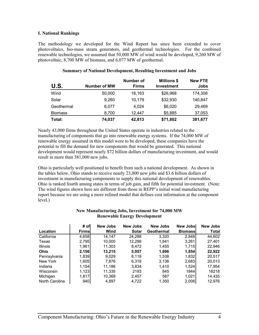# **I. National Rankings**

The methodology we developed for the Wind Report has since been extended to cover photovoltaics, bio-mass steam generators, and geothermal technologies. For the combined renewable technologies, we assumed that 50,000 MW of wind would be developed, 9,260 MW of photovoltaic, 8,700 MW of biomass, and 6,077 MW of geothermal.

|                |                     | Number of    | <b>Millions \$</b> | <b>New FTE</b> |
|----------------|---------------------|--------------|--------------------|----------------|
| U.S.           | <b>Number of MW</b> | <b>Firms</b> | <b>Investment</b>  | <b>Jobs</b>    |
| Wind           | 50,000              | 16,163       | \$26,968           | 174,308        |
| Solar          | 9,260               | 10,179       | \$32,930           | 140,847        |
| Geothermal     | 6,077               | 4.024        | \$6,020            | 29,469         |
| <b>Biomass</b> | 8,700               | 12,447       | \$5,885            | 37,053         |
| Total:         | 74,037              | 42,813       | \$71,802           | 381,677        |

# **Summary of National Development, Resulting Investment and Jobs**

Nearly 43,000 firms throughout the United States operate in industries related to the manufacturing of components that go into renewable energy systems. If the 74,000 MW of renewable energy assumed in this model were to be developed, these companies have the potential to fill the demand for new components that would be generated. This national development would represent nearly \$72 billion dollars of manufacturing investment, and would result in more than 381,000 new jobs.

Ohio is particularly well positioned to benefit from such a national development. As shown in the tables below, Ohio stands to receive nearly 23,000 new jobs and \$3.6 billion dollars of investment in manufacturing components to supply this national development of renewables. Ohio is ranked fourth among states in terms of job gain, and fifth for potential investment. (Note: The wind figures shown here are different from those in REPP's initial wind manufacturing report because we are using a more refined model that defines cost information at the component level.)

|                | # ofl        | <b>New Jobs</b> | <b>New Jobs</b> | <b>New Jobs</b> | <b>New Jobsi</b> | <b>New Jobs</b> |
|----------------|--------------|-----------------|-----------------|-----------------|------------------|-----------------|
| Location       | <b>Firms</b> | Wind            | Solar           | Geothermal      | <b>Biomass</b>   | Total           |
| California     | 4,658        | 14.147          | 24,288          | 3,320           | 2,848            | 44,602          |
| Texas          | 2,795        | 10,000          | 12,299          | 1,841           | 3,261            | 27,401          |
| Illinois       | 1,961        | 11,303          | 8.472           | 1,455           | 1,715            | 22,946          |
| <b>Ohio</b>    | 2,156        | 13,215          | 5,957           | 1,896           | 1,854            | 22,922          |
| Pennsylvania   | 1,839        | 9.029           | 8.119           | 1,538           | 1,832            | 20,517          |
| New York       | 1,605        | 7.876           | 6,318           | 3,136           | 2,683            | 20,013          |
| Indiana        | 1,154        | 11,186          | 3,834           | 1.410           | 1,524            | 17,954          |
| Wisconsin      | 1,123        | 11,335          | 2193            | 845             | 1844             | 16218           |
| Michigan       | 1.817        | 10,369          | 2.457           | 587             | 1.021            | 14,435          |
| North Carolina | 940          | 4,897           | 4.722           | 1,350           | 2,006            | 12.976          |

# **New Manufacturing Jobs, Investment for 74,000 MW Renewable Energy Development**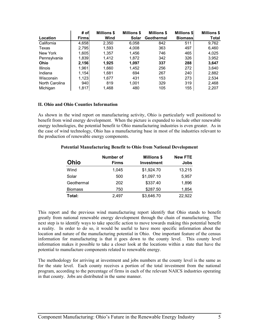|                 | # of   | <b>Millions \$</b> | <b>Millions \$</b> | <b>Millions \$</b> | <b>Millions \$</b> | <b>Millions \$</b> |
|-----------------|--------|--------------------|--------------------|--------------------|--------------------|--------------------|
| Location        | Firmsl | Wind               | Solar              | Geothermal         | <b>Biomass</b>     | <b>Total</b>       |
| California      | 4,658  | 2,350              | 6,058              | 842                | 511                | 9,762              |
| Texas           | 2,795  | 1,593              | 4,008              | 363                | 497                | 6,460              |
| New York        | 1,605  | 1,357              | 1,456              | 746                | 465                | 4,025              |
| Pennsylvania    | 1,839  | 1,412              | 1,872              | 342                | 326                | 3,952              |
| <b>Ohio</b>     | 2,156  | 1,925              | 1.097              | 337                | 288                | 3,647              |
| <b>Illinois</b> | 1,961  | 1,660              | 1,452              | 256                | 272                | 3,640              |
| Indiana         | 1,154  | 1,681              | 694                | 267                | 240                | 2,882              |
| Wisconsin       | 1,123  | 1,677              | 431                | 153                | 273                | 2,534              |
| North Carolina  | 940    | 819                | 1,001              | 329                | 319                | 2,468              |
| Michigan        | 1,817  | 1,468              | 480                | 105                | 155                | 2,207              |

# **II. Ohio and Ohio Counties Information**

As shown in the wind report on manufacturing activity, Ohio is particularly well positioned to benefit from wind energy development. When the picture is expanded to include other renewable energy technologies, the potential benefit to Ohio manufacturing industries is even greater. As in the case of wind technology, Ohio has a manufacturing base in most of the industries relevant to the production of renewable energy components.

| Ohio           | Number of<br><b>Firms</b> | <b>Millions \$</b><br><b>Investment</b> | <b>New FTE</b><br>Jobs |
|----------------|---------------------------|-----------------------------------------|------------------------|
| Wind           | 1,045                     | \$1,924.70                              | 13,215                 |
| Solar          | 500                       | \$1,097.10                              | 5,957                  |
| Geothermal     | 202                       | \$337.40                                | 1,896                  |
| <b>Biomass</b> | 750                       | \$287.50                                | 1,854                  |
| Total:         | 2.497                     | \$3,646.70                              | 22,922                 |

## **Potential Manufacturing Benefit to Ohio from National Development**

This report and the previous wind manufacturing report identify that Ohio stands to benefit greatly from national renewable energy development through the chain of manufacturing. The next step is to identify ways to take specific action to move towards making this potential benefit a reality. In order to do so, it would be useful to have more specific information about the location and nature of the manufacturing potential in Ohio. One important feature of the census information for manufacturing is that it goes down to the county level. This county level information makes it possible to take a closer look at the locations within a state that have the potential to manufacture components related to renewable energy.

The methodology for arriving at investment and jobs numbers at the county level is the same as for the state level. Each county receives a portion of the total investment from the national program, according to the percentage of firms in each of the relevant NAICS industries operating in that county. Jobs are distributed in the same manner.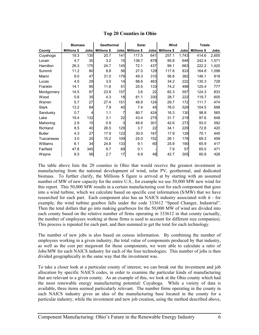|               | <b>Biomass</b>     |                | Geothermal         |             | Solar              |             | Wind               |       | <b>Totals</b>      |       |
|---------------|--------------------|----------------|--------------------|-------------|--------------------|-------------|--------------------|-------|--------------------|-------|
| County        | <b>Millions \$</b> | <b>Jobs</b>    | <b>Millions \$</b> | <b>Jobs</b> | <b>Millions \$</b> | <b>Jobs</b> | <b>Millions \$</b> | Jobsl | <b>Millions \$</b> | Jobs  |
| Cuyahoga      | 19.3               | 130            | 20.7               | 141         | 117.5              | 641         | 257.1              | 1,743 | 414.6              | 2,655 |
| Lorain        | 4.7                | 30             | 3.2                | 15          | 138.7              | 878         | 95.8               | 648   | 242.4              | 1,571 |
| Hamilton      | 26.3               | 175            | 24.7               | 145         | 72.1               | 437         | 99.1               | 663   | 222.2              | 1,420 |
| Summit        | 11.2               | 80             | 8.8                | 56          | 27.0               | 129         | 117.8              | 833   | 164.8              | 1,098 |
| Miami         | 9.0                | 47             | 31.0               | 179         | 49.3               | 310         | 56.8               | 382   | 146.1              | 918   |
| Lucas         | 4.5                | 29             | 3.0                | 14          | 88.6               | 463         | 34.2               | 222   | 130.3              | 728   |
| Franklin      | 14.1               | 95             | 11.6               | 51          | 25.5               | 133         | 74.2               | 498   | 125.4              | 777   |
| Montgomery    | 14.5               | 97             | 23.9               | 157         | 3.6                | 22          | 82.3               | 557   | 124.3              | 833   |
| Wood          | 5.6                | 35             | 4.3                | 18          | 81.1               | 330         | 28.7               | 222   | 119.7              | 605   |
| Warren        | 5.7                | 27             | 27.4               | 151         | 48.9               | 124         | 29.7               | 172   | 111.7              | 474   |
| <b>Stark</b>  | 13.2               | 84             | 7.9                | 40          | 7.4                | 45          | 76.0               | 529   | 104.5              | 698   |
| Sandusky      | 0.7                | $\overline{4}$ | 1.1                | 7           | 80.7               | 424         | 16.3               | 130   | 98.8               | 565   |
| Lake          | 19.4               | 132            | 3.1                | 22          | 43.4               | 275         | 31.7               | 219   | 97.6               | 648   |
| Mahoning      | 2.9                | 15             | 0.9                | 3           | 46.6               | 301         | 42.6               | 273   | 93.0               | 592   |
| Richland      | 8.5                | 40             | 26.5               | 129         | 3.7                | 22          | 34.1               | 229   | 72.8               | 420   |
| <b>Butler</b> | 4.3                | 27             | 17.9               | 122         | 30.0               | 167         | 17.9               | 129   | 70.1               | 445   |
| Tuscarawas    | 3.0                | 20             | 15.2               | 109         | 25.0               | 152         | 26.1               | 178   | 69.3               | 459   |
| Williams      | 6.1                | 34             | 24.8               | 133         | 9.1                | 60          | 25.9               | 190   | 65.9               | 417   |
| Fairfield     | 47.8               | 345            | 9.7                | 69          | 0.1                |             | 7.9                | 57    | 65.5               | 471   |
| Wayne         | 8.5                | 56             | 2.7                | 17          | 6.9                | 48          | 42.7               | 305   | 60.8               | 426   |

# **Top 20 Counties in Ohio**

The table above lists the 20 counties in Ohio that would receive the greatest investment in manufacturing from the national development of wind, solar PV, geothermal, and dedicated biomass. To further clarify, the Millions \$ figure is arrived at by starting with an assumed number of MW of new capacity for the entire U.S., for example we use 50,000 MW new wind for this report. This 50,000 MW results in a certain manufacturing cost for each component that goes into a wind turbine, which we calculate based on specific cost information (\$/MW) that we have researched for each part. Each component also has an NAICS industry associated with it - for example, the wind turbine gearbox falls under the code 333612 "Speed Changer, Industrial". Then the total dollars that go into making gearboxes for the 50,000 MW of wind are divided into each county based on the relative number of firms operating in 333612 in that county (actually, the number of employees working at those firms is used to account for different size companies). This process is repeated for each part, and then summed to get the total for each technology.

The number of new jobs is also based on census information. By combining the number of employees working in a given industry, the total value of components produced by that industry, as well as the cost per megawatt for those components, we were able to calculate a ratio of Jobs/MW for each NAICS industry for each of the four technologies. This number of jobs is then divided geographically in the same way that the investment was.

To take a closer look at a particular county of interest, we can break out the investment and job allocation by specific NAICS codes, in order to examine the particular kinds of manufacturing that are relevant to a given county. As an example of this, we look at the Ohio county which had the most renewable energy manufacturing potential: Cuyahoga. While a variety of data is available, three items seemed particularly relevant. The number firms operating in the county in each NAICS industry gives an idea of the manufacturing base located in the county for a particular industry, while the investment and new job creation, using the method described above,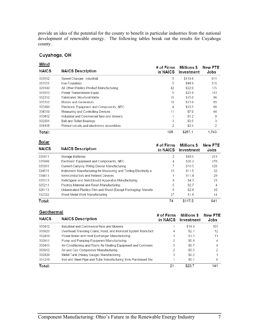provide an idea of the potential for the county to benefit in particular industries from the national development of renewable energy. The following tables break out the results for Cuyahoga county.

# Cuyahoga, OH

| <b>Wind</b>  |                                             |                        |                           |                        |
|--------------|---------------------------------------------|------------------------|---------------------------|------------------------|
| <b>NAICS</b> | <b>NAICS Description</b>                    | # of Firms<br>in NAICS | Millions \$<br>Investment | <b>New FTE</b><br>Jobs |
| 333612       | Speed Changer, Industrial                   | 5                      | \$119.8                   | 811                    |
| 331511       | Iron Foundries                              | 5                      | \$44.9                    | 315                    |
| 326199       | All Other Plastics Product Manufacturing    | 42                     | \$22.0                    | 175                    |
| 333613       | Power Transmission Equip.                   | 6                      | \$21.9                    | 143                    |
| 332312       | <b>Fabricated Structural Metal</b>          | 16                     | \$15.0                    | 86                     |
| 335312       | Motors and Generators                       | 10                     | \$13.9                    | 85                     |
| 335999       | Electronic Equipment and Components, NEC    | 4                      | \$10.5                    | 68                     |
| 334519       | Measuring and Controlling Devices           | 11                     | \$7.0                     | 46                     |
| 333412       | Industrial and Commercial fans and blowers  |                        | \$1.2                     | 9                      |
| 332991       | Ball and Roller Bearings                    | 3                      | \$0.5                     | 3                      |
| 334418       | Printed circuits and electronics assemblies | 2                      | \$0.4                     | 2                      |
| Total:       |                                             | 105                    | \$257.1                   | 1,743                  |
|              |                                             |                        |                           |                        |

# Solar

| $  -$<br><b>NAICS</b> | <b>NAICS Description</b>                                         | # of Firms<br>in NAICS | Millions \$<br>Investment | New FTE<br>Jobs |
|-----------------------|------------------------------------------------------------------|------------------------|---------------------------|-----------------|
| 335911                | Storage Batteries                                                |                        | \$40.5                    | 213             |
| 335999                | Electronic Equipment and Components, NEC                         | 4                      | \$26.2                    | 170             |
| 335931                | Current-Carrying Wiring Device Manufacturing                     |                        | \$16.5                    | 126             |
| 334515                | Instrument Manufacturing for Measuring and Testing Electricity a | 13                     | \$11.5                    | 52              |
| 334413                | Semiconductors and Related Devices                               |                        | \$11.4                    | 29              |
| 335313                | Switchgear and Switchboard Apparatus Manufacturing               | 9                      | \$4.3                     | 23              |
| 325211                | Plastics Material and Resin Manufacturing                        | 5                      | \$2.7                     | 4               |
| 326113                | Unlaminated Plastics Film and Sheet (Except Packaging) Manufa    | 6                      | \$2.6                     | 10              |
| 332322                | Sheet Metal Work Manufacturing                                   | 27                     | \$1.8                     | 14              |
| Total:                |                                                                  | 74                     | \$117.5                   | 641             |

#### Geothermal

| Geothermal   |                                                               | # of Firms |                           |                 |
|--------------|---------------------------------------------------------------|------------|---------------------------|-----------------|
| <b>NAICS</b> | <b>NAICS Description</b>                                      | in NAICS   | Millions \$<br>Investment | New FTE<br>Jobs |
| 333412       | Industrial and Commercial fans and blowers                    |            | \$14.8                    | 107             |
| 333923       | Overhead Traveling Crane, Hoist, and Monorail System Manufact | 4          | \$2.1                     | 12              |
| 332410       | Power Boiler and Heat Exchanger Manufacturing                 | 3          | \$1.5                     | 11              |
| 333911       | Pump and Pumping Equipment Manufacturing                      |            | \$0.8                     | 4               |
| 333415       | Air-Conditioning and Warm Air Heating Equipment and Commerc   | 5          | \$0.7                     | 4               |
| 333912       | Air and Gas Compressor Manufacturing                          |            | \$0.5                     |                 |
| 332420       | Metal Tank (Heavy Gauge) Manufacturing                        | 3          | \$0.2                     |                 |
| 331210       | Iron and Steel Pipe and Tube Manufacturing from Purchased Ste |            | \$0.1                     |                 |
| Total:       |                                                               | 21         | \$20.7                    | 141             |
|              |                                                               |            |                           |                 |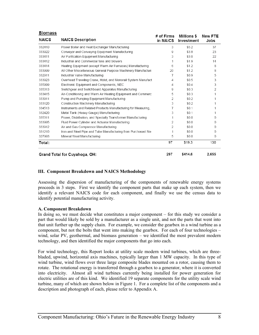| <b>Biomass</b> |                                                               | # of Firms | Millions \$ | New FTE |
|----------------|---------------------------------------------------------------|------------|-------------|---------|
| <b>NAICS</b>   | <b>NAICS Description</b>                                      | in NAICS   | Investment  | Jobs    |
| 332410         | Power Boiler and Heat Exchanger Manufacturing                 | 3          | \$5.2       | 37      |
| 333922         | Conveyor and Conveying Equipment Manufacturing                | 9          | \$3.8       | 23      |
| 333411         | Air Purification Equipment Manufacturing                      | 3          | \$3.0       | 22      |
| 333412         | Industrial and Commercial fans and blowers                    |            | \$1.9       | 14      |
| 333414         | Heating Equipment (except Warm Air Furnaces) Manufacturing    | 6          | \$1.2       | 8       |
| 333999         | All Other Miscellaneous General Purpose Machinery Manufacturi | 20         | \$1.2       | 8       |
| 332911         | Industrial Valve Manufacturing                                | 7          | \$0.9       | 5       |
| 333923         | Overhead Traveling Crane, Hoist, and Monorail System Manufact | 4          | \$0.5       | 3       |
| 335999         | Electronic Equipment and Components, NEC                      | 4          | \$0.4       | 3       |
| 335313         | Switchgear and Switchboard Apparatus Manufacturing            | 9          | \$0.3       | 2       |
| 333415         | Air-Conditioning and Warm Air Heating Equipment and Commerc   | 5          | \$0.3       |         |
| 333911         | Pump and Pumping Equipment Manufacturing                      | 2          | \$0.2       |         |
| 333120         | Construction Machinery Manufacturing                          | 3          | \$0.2       |         |
| 334513         | Instruments and Related Products Manufacturing for Measuring. | 7          | \$0.1       |         |
| 332420         | Metal Tank (Heavy Gauge) Manufacturing                        | 3          | \$0.1       |         |
| 335311         | Power, Distribution, and Specialty Transformer Manufacturing  |            | \$0.0       | 0       |
| 333995         | Fluid Power Cylinder and Actuator Manufacturing               | 2          | \$0.0       | 0       |
| 333912         | Air and Gas Compressor Manufacturing                          | 2          | \$0.0       | 0       |
| 331210         | Iron and Steel Pipe and Tube Manufacturing from Purchased Ste |            | \$0.0       | 0       |
| 327993         | Mineral Wool Manufacturing                                    | 5          | \$0.0       | 0       |
| Total:         |                                                               | 97         | \$19.3      | 130     |
|                | Grand Total for Cuyahoga, OH:                                 | 297        | \$414.6     | 2,655   |

# **III. Component Breakdown and NAICS Methodology**

Assessing the dispersion of manufacturing of the components of renewable energy systems proceeds in 3 steps. First we identify the component parts that make up each system, then we identify a relevant NAICS code for each component, and finally we use the census data to identify potential manufacturing activity.

## **A. Component Breakdown**

In doing so, we must decide what constitutes a major component – for this study we consider a part that would likely be sold by a manufacturer as a single unit, and not the parts that went into that unit further up the supply chain. For example, we consider the gearbox in a wind turbine as a component, but not the bolts that went into making the gearbox. For each of four technologies – wind, solar PV, geothermal, and biomass generation – we identified the most prevalent modern technology, and then identified the major components that go into each.

For wind technology, this Report looks at utility scale modern wind turbines, which are threebladed, upwind, horizontal axis machines, typically larger than 1 MW capacity. In this type of wind turbine, wind flows over three large composite blades mounted on a rotor, causing them to rotate. The rotational energy is transferred through a gearbox to a generator, where it is converted into electricity. Almost all wind turbines currently being installed for power generation for electric utilities are of this kind. We identified 19 separate components for the utility scale wind turbine, many of which are shown below in Figure 1. For a complete list of the components and a description and photograph of each, please refer to Appendix A.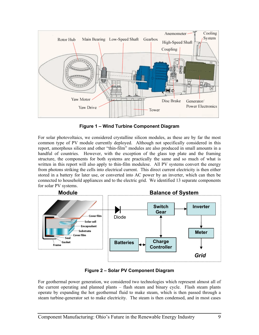

**Figure 1 – Wind Turbine Component Diagram**

For solar photovoltaics, we considered crystalline silicon modules, as these are by far the most common type of PV module currently deployed. Although not specifically considered in this report, amorphous silicon and other "thin-film" modules are also produced in small amounts in a handful of countries. However, with the exception of the glass top plate and the framing structure, the components for both systems are practically the same and so much of what is written in this report will also apply to thin-film modulese. All PV systems convert the energy from photons striking the cells into electrical current. This direct current electricity is then either stored in a battery for later use, or converted into AC power by an inverter, which can then be connected to household appliances and to the electric grid. We identified 13 separate components for solar PV systems.



**Figure 2 – Solar PV Component Diagram**

For geothermal power generation, we considered two technologies which represent almost all of the current operating and planned plants – flash steam and binary cycle. Flash steam plants operate by expanding the hot geothermal fluid to make steam, which is then passed through a steam turbine-generator set to make electricity. The steam is then condensed, and in most cases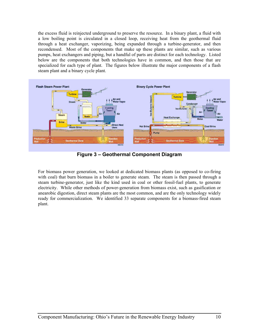the excess fluid is reinjected underground to preserve the resource. In a binary plant, a fluid with a low boiling point is circulated in a closed loop, receiving heat from the geothermal fluid through a heat exchanger, vaporizing, being expanded through a turbine-generator, and then recondensed. Most of the components that make up these plants are similar, such as various pumps, heat exchangers and piping, but a handful of parts are distinct for each technology. Listed below are the components that both technologies have in common, and then those that are specialized for each type of plant. The figures below illustrate the major components of a flash steam plant and a binary cycle plant.



**Figure 3 – Geothermal Component Diagram** 

For biomass power generation, we looked at dedicated biomass plants (as opposed to co-firing with coal) that burn biomass in a boiler to generate steam. The steam is then passed through a steam turbine-generator, just like the kind used in coal or other fossil-fuel plants, to generate electricity. While other methods of power-generation from biomass exist, such as gasification or anearobic digestion, direct steam plants are the most common, and are the only technology widely ready for commercialization. We identified 33 separate components for a biomass-fired steam plant.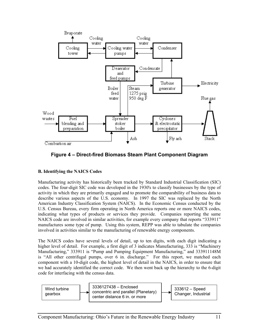

**Figure 4 – Direct-fired Biomass Steam Plant Component Diagram** 

# **B. Identifying the NAICS Codes**

Manufacturing activity has historically been tracked by Standard Industrial Classification (SIC) codes. The four-digit SIC code was developed in the 1930's to classify businesses by the type of activity in which they are primarily engaged and to promote the comparability of business data to describe various aspects of the U.S. economy. In 1997 the SIC was replaced by the North American Industry Classification System (NAICS). In the Economic Census conducted by the U.S. Census Bureau, every firm operating in North America reports one or more NAICS codes, indicating what types of products or services they provide. Companies reporting the same NAICS code are involved in similar activities, for example every company that reports "333911" manufactures some type of pump. Using this system, REPP was able to tabulate the companies involved in activities similar to the manufacturing of renewable energy components.

The NAICS codes have several levels of detail, up to ten digits, with each digit indicating a higher level of detail. For example, a first digit of 3 indicates Manufacturing, 333 is "Machinery Manufacturing," 333911 is "Pump and Pumping Equipment Manufacturing," and 333911148M is "All other centrifugal pumps, over 6 in. discharge." For this report, we matched each component with a 10-digit code, the highest level of detail in the NAICS, in order to ensure that we had accurately identified the correct code. We then went back up the hierarchy to the 6-digit code for interfacing with the census data.

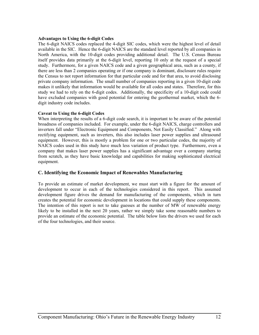# **Advantages to Using the 6-digit Codes**

The 6-digit NAICS codes replaced the 4-digit SIC codes, which were the highest level of detail available in the SIC. Hence the 6-digit NAICS are the standard level reported by all companies in North America, with the 10-digit codes providing additional detail. The U.S. Census Bureau itself provides data primarily at the 6-digit level, reporting 10 only at the request of a special study. Furthermore, for a given NAICS code and a given geographical area, such as a county, if there are less than 2 companies operating or if one company is dominant, disclosure rules require the Census to not report information for that particular code and for that area, to avoid disclosing private company information. The small number of companies reporting in a given 10-digit code makes it unlikely that information would be available for all codes and states. Therefore, for this study we had to rely on the 6-digit codes. Additionally, the specificity of a 10-digit code could have excluded companies with good potential for entering the geothermal market, which the 6 digit industry code includes.

# **Caveat to Using the 6-digit Codes**

When interpreting the results of a 6-digit code search, it is important to be aware of the potential broadness of companies included. For example, under the 6-digit NAICS, charge controllers and inverters fall under "Electronic Equipment and Components, Not Easily Classified." Along with rectifying equipment, such as inverters, this also includes laser power supplies and ultrasound equipment. However, this is mostly a problem for one or two particular codes, the majority of NAICS codes used in this study have much less variation of product type. Furthermore, even a company that makes laser power supplies has a significant advantage over a company starting from scratch, as they have basic knowledge and capabilities for making sophisticated electrical equipment.

# **C. Identifying the Economic Impact of Renewables Manufacturing**

To provide an estimate of market development, we must start with a figure for the amount of development to occur in each of the technologies considered in this report. This assumed development figure drives the demand for manufacturing of the components, which in turn creates the potential for economic development in locations that could supply these components. The intention of this report is not to take guesses at the number of MW of renewable energy likely to be installed in the next 20 years, rather we simply take some reasonable numbers to provide an estimate of the economic potential. The table below lists the drivers we used for each of the four technologies, and their source.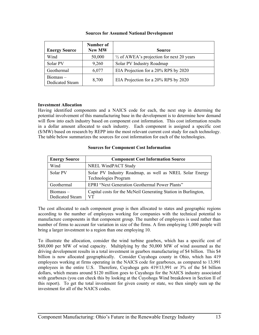| <b>Energy Source</b>        | Number of<br><b>New MW</b> | <b>Source</b>                                        |
|-----------------------------|----------------------------|------------------------------------------------------|
| Wind                        | 50,000                     | $\frac{1}{2}$ of AWEA's projection for next 20 years |
| Solar PV                    | 9,260                      | Solar PV Industry Roadmap                            |
| Geothermal                  | 6,077                      | EIA Projection for a 20% RPS by 2020                 |
| Biomass-<br>Dedicated Steam | 8,700                      | EIA Projection for a 20% RPS by 2020                 |

# **Sources for Assumed National Development**

# **Investment Allocation**

Having identified components and a NAICS code for each, the next step in determing the potential involvement of this manufacturing base in the development is to determine how demand will flow into each industry based on component cost information. This cost information results in a dollar amount allocated to each industry. Each component is assigned a specific cost (\$/MW) based on research by REPP into the most relevant current cost study for each technology. The table below summarizes the sources for cost information for each of the technologies.

| <b>Energy Source</b>           | <b>Component Cost Information Source</b>                                        |
|--------------------------------|---------------------------------------------------------------------------------|
| Wind                           | <b>NREL WindPACT Study</b>                                                      |
| Solar PV                       | Solar PV Industry Roadmap, as well as NREL Solar Energy<br>Technologies Program |
| Geothermal                     | EPRI "Next Generation Geothermal Power Plants"                                  |
| $Biomass -$<br>Dedicated Steam | Capital costs for the McNeil Generating Station in Burlington,<br>VТ            |

## **Sources for Component Cost Information**

The cost allocated to each component group is then allocated to states and geographic regions according to the number of employees working for companies with the technical potential to manufacture components in that component group. The number of employees is used rather than number of firms to account for variation in size of the firms. A firm employing 1,000 people will bring a larger investment to a region than one employing 10.

To illustrate the allocation, consider the wind turbine gearbox, which has a specific cost of \$80,000 per MW of wind capacity. Multiplying by the 50,000 MW of wind assumed as the driving development results in a total investment in gearbox manufacturing of \$4 billion. This \$4 billion is now allocated geographically. Consider Cuyahoga county in Ohio, which has 419 employees working at firms operating in the NAICS code for gearboxes, as compared to 13,991 employees in the entire U.S. Therefore, Cuyahoga gets 419/13,991 or 3% of the \$4 billion dollars, which means around \$120 million goes to Cuyahoga for the NAICS industry associated with gearboxes (you can check this by looking at the Cuyohoga Wind breakdown in Section II of this report). To get the total investment for given county or state, we then simply sum up the investment for all of the NAICS codes.